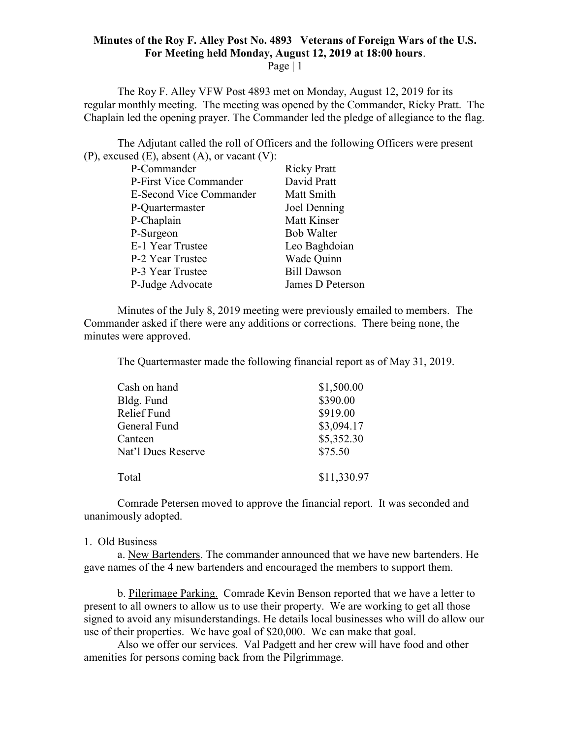## Minutes of the Roy F. Alley Post No. 4893 Veterans of Foreign Wars of the U.S. For Meeting held Monday, August 12, 2019 at 18:00 hours.

Page  $|1$ 

The Roy F. Alley VFW Post 4893 met on Monday, August 12, 2019 for its regular monthly meeting. The meeting was opened by the Commander, Ricky Pratt. The Chaplain led the opening prayer. The Commander led the pledge of allegiance to the flag.

The Adjutant called the roll of Officers and the following Officers were present (P), excused (E), absent (A), or vacant (V):

| P-Commander                    | <b>Ricky Pratt</b> |
|--------------------------------|--------------------|
| P-First Vice Commander         | David Pratt        |
| <b>E-Second Vice Commander</b> | Matt Smith         |
| P-Quartermaster                | Joel Denning       |
| P-Chaplain                     | <b>Matt Kinser</b> |
| P-Surgeon                      | <b>Bob Walter</b>  |
| E-1 Year Trustee               | Leo Baghdoian      |
| P-2 Year Trustee               | Wade Quinn         |
| P-3 Year Trustee               | <b>Bill Dawson</b> |
| P-Judge Advocate               | James D Peterson   |

 Minutes of the July 8, 2019 meeting were previously emailed to members. The Commander asked if there were any additions or corrections. There being none, the minutes were approved.

The Quartermaster made the following financial report as of May 31, 2019.

| Cash on hand       | \$1,500.00  |
|--------------------|-------------|
| Bldg. Fund         | \$390.00    |
| Relief Fund        | \$919.00    |
| General Fund       | \$3,094.17  |
| Canteen            | \$5,352.30  |
| Nat'l Dues Reserve | \$75.50     |
| Total              | \$11,330.97 |

Comrade Petersen moved to approve the financial report. It was seconded and unanimously adopted.

## 1. Old Business

 a. New Bartenders. The commander announced that we have new bartenders. He gave names of the 4 new bartenders and encouraged the members to support them.

 b. Pilgrimage Parking. Comrade Kevin Benson reported that we have a letter to present to all owners to allow us to use their property. We are working to get all those signed to avoid any misunderstandings. He details local businesses who will do allow our use of their properties. We have goal of \$20,000. We can make that goal.

 Also we offer our services. Val Padgett and her crew will have food and other amenities for persons coming back from the Pilgrimmage.